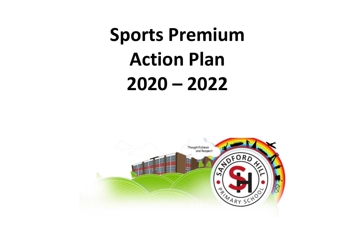## **Sports Premium Action Plan 2020 – 2022**

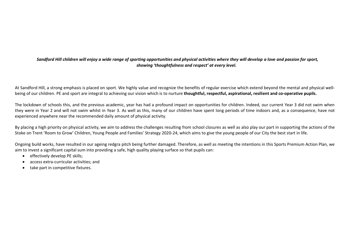## *Sandford Hill children will enjoy a wide range of sporting opportunities and physical activities where they will develop a love and passion for sport, showing 'thoughtfulness and respect' at every level.*

At Sandford Hill, a strong emphasis is placed on sport. We highly value and recognize the benefits of regular exercise which extend beyond the mental and physical wellbeing of our children. PE and sport are integral to achieving our vision which is to nurture **thoughtful, respectful, aspirational, resilient and co-operative pupils.**

The lockdown of schools this, and the previous academic, year has had a profound impact on opportunities for children. Indeed, our current Year 3 did not swim when they were in Year 2 and will not swim whilst in Year 3. As well as this, many of our children have spent long periods of time indoors and, as a consequence, have not experienced anywhere near the recommended daily amount of physical activity.

By placing a high priority on physical activity, we aim to address the challenges resulting from school closures as well as also play our part in supporting the actions of the Stoke on Trent 'Room to Grow' Children, Young People and Families' Strategy 2020-24, which aims to give the young people of our City the best start in life.

Ongoing build works, have resulted in our ageing redgra pitch being further damaged. Therefore, as well as meeting the intentions in this Sports Premium Action Plan, we aim to invest a significant capital sum into providing a safe, high quality playing surface so that pupils can:

- effectively develop PE skills;
- access extra-curricular activities; and
- take part in competitive fixtures.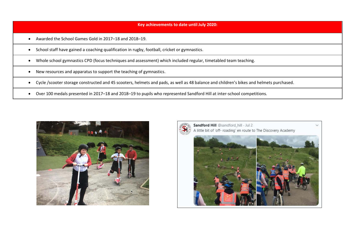## **Key achievements to date until July 2020:**

- Awarded the School Games Gold in 2017–18 and 2018–19.
- School staff have gained a coaching qualification in rugby, football, cricket or gymnastics.
- Whole school gymnastics CPD (focus techniques and assessment) which included regular, timetabled team teaching.
- New resources and apparatus to support the teaching of gymnastics.
- Cycle /scooter storage constructed and 45 scooters, helmets and pads, as well as 48 balance and children's bikes and helmets purchased.
- Over 100 medals presented in 2017–18 and 2018–19 to pupils who represented Sandford Hill at inter-school competitions.



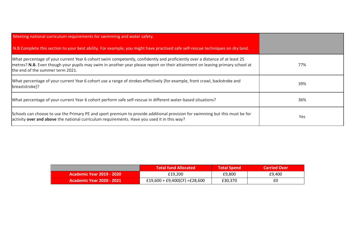| Meeting national curriculum requirements for swimming and water safety.                                                                                                                                                                                                                         |     |
|-------------------------------------------------------------------------------------------------------------------------------------------------------------------------------------------------------------------------------------------------------------------------------------------------|-----|
| N.B Complete this section to your best ability. For example, you might have practised safe self-rescue techniques on dry land.                                                                                                                                                                  |     |
| What percentage of your current Year 6 cohort swim competently, confidently and proficiently over a distance of at least 25<br>metres? N.B. Even though your pupils may swim in another year please report on their attainment on leaving primary school at<br>the end of the summer term 2021. | 77% |
| What percentage of your current Year 6 cohort use a range of strokes effectively [for example, front crawl, backstroke and<br>breaststroke]?                                                                                                                                                    | 39% |
| What percentage of your current Year 6 cohort perform safe self-rescue in different water-based situations?                                                                                                                                                                                     | 36% |
| Schools can choose to use the Primary PE and sport premium to provide additional provision for swimming but this must be for<br>activity over and above the national curriculum requirements. Have you used it in this way?                                                                     | Yes |

|                                  | <b>Total fund Allocated</b>   | <b>Total Spend</b> | <b>Carried Over</b> |
|----------------------------------|-------------------------------|--------------------|---------------------|
| Academic Year 2019 - 2020 \      | £19.200                       | £9.800             | £9.400              |
| <b>Academic Year 2020 - 2021</b> | £19,600 + £9,400(CF) =£28,600 | £30,370            | £0                  |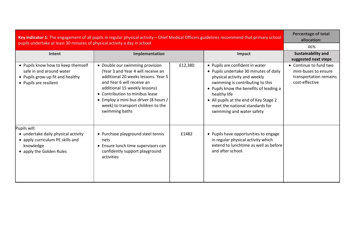| Key indicator 1: The engagement of all pupils in regular physical activity - Chief Medical Officers guidelines recommend that primary school<br>pupils undertake at least 30 minutes of physical activity a day in school |                                                                                                                                                                                                                                                                                                                 |         |                                                                                                                                                                                                                                                                                                                    | <b>Percentage of total</b><br>allocation:                                                  |
|---------------------------------------------------------------------------------------------------------------------------------------------------------------------------------------------------------------------------|-----------------------------------------------------------------------------------------------------------------------------------------------------------------------------------------------------------------------------------------------------------------------------------------------------------------|---------|--------------------------------------------------------------------------------------------------------------------------------------------------------------------------------------------------------------------------------------------------------------------------------------------------------------------|--------------------------------------------------------------------------------------------|
|                                                                                                                                                                                                                           |                                                                                                                                                                                                                                                                                                                 |         |                                                                                                                                                                                                                                                                                                                    | 46%                                                                                        |
| Intent                                                                                                                                                                                                                    | Implementation                                                                                                                                                                                                                                                                                                  |         | Impact                                                                                                                                                                                                                                                                                                             | Sustainability and<br>suggested next steps                                                 |
| • Pupils know how to keep themself<br>safe in and around water<br>• Pupils grow-up fit and healthy<br>• Pupils are resilient                                                                                              | • Double our swimming provision<br>(Year 3 and Year 4 will receive an<br>additional 20 weeks lessons. Year 5<br>and Year 6 will receive an<br>additional 15 weekly lessons)<br>• Contribution to minibus lease<br>• Employ a mini-bus driver (8 hours /<br>week) to transport children to the<br>swimming baths | £12,380 | • Pupils are confident in water<br>• Pupils undertake 30 minutes of daily<br>physical activity and weekly<br>swimming is contributing to this<br>• Pupils know the benefits of leading a<br>healthy life<br>• All pupils at the end of Key Stage 2<br>meet the national standards for<br>swimming and water safety | • Continue to fund two<br>mini-buses to ensure<br>transportation remains<br>cost-effective |
| Pupils will:<br>• undertake daily physical activity<br>• apply curriculum PE skills and<br>knowledge<br>• apply the Golden Rules                                                                                          | • Purchase playground steel tennis<br>nets<br>• Ensure lunch time supervisors can<br>confidently support playground<br>activities                                                                                                                                                                               | £1482   | • Pupils have opportunities to engage<br>in regular physical activity which<br>extend to lunchtime as well as before<br>and after school.                                                                                                                                                                          |                                                                                            |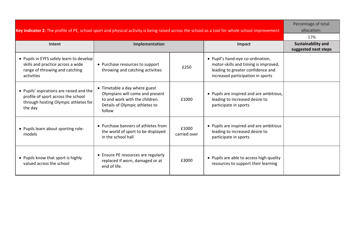| Key indicator 2: The profile of PE, school sport and physical activity is being raised across the school as a tool for whole school improvement |                                                                                                                                                |                       |                                                                                                                                                     | Percentage of total<br>allocation:                |
|-------------------------------------------------------------------------------------------------------------------------------------------------|------------------------------------------------------------------------------------------------------------------------------------------------|-----------------------|-----------------------------------------------------------------------------------------------------------------------------------------------------|---------------------------------------------------|
|                                                                                                                                                 | 17%                                                                                                                                            |                       |                                                                                                                                                     |                                                   |
| Intent                                                                                                                                          | Implementation                                                                                                                                 |                       | Impact                                                                                                                                              | <b>Sustainability and</b><br>suggested next steps |
| • Pupils in EYFS safely learn to develop<br>skills and practice across a wide<br>range of throwing and catching<br>activities                   | • Purchase resources to support<br>throwing and catching activities                                                                            | £250                  | • Pupil's hand-eye co-ordination,<br>motor-skills and timing is improved,<br>leading to greater confidence and<br>increased participation in sports |                                                   |
| • Pupils' aspirations are raised and the<br>profile of sport across the school<br>through hosting Olympic athletes for<br>the day               | • Timetable a day where guest<br>Olympians will come and present<br>to and work with the children.<br>Details of Olympic athletes to<br>follow | £1000                 | • Pupils are inspired and are ambitious,<br>leading to increased desire to<br>participate in sports                                                 |                                                   |
| • Pupils learn about sporting role-<br>models                                                                                                   | • Purchase banners of athletes from<br>the world of sport to be displayed<br>in the school hall                                                | £1000<br>carried over | • Pupils are inspired and are ambitious<br>leading to increased desire to<br>participate in sports                                                  |                                                   |
| • Pupils know that sport is highly<br>valued across the school                                                                                  | • Ensure PE resources are regularly<br>replaced if worn, damaged or at<br>end of life.                                                         | £3000                 | • Pupils are able to access high quality<br>resources to support their learning                                                                     |                                                   |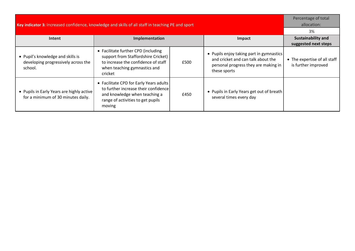| Key indicator 3: Increased confidence, knowledge and skills of all staff in teaching PE and sport |                                                                                                                                                                 |      |                                                                                                                                        | Percentage of total<br>allocation:                  |
|---------------------------------------------------------------------------------------------------|-----------------------------------------------------------------------------------------------------------------------------------------------------------------|------|----------------------------------------------------------------------------------------------------------------------------------------|-----------------------------------------------------|
|                                                                                                   |                                                                                                                                                                 |      |                                                                                                                                        | 3%                                                  |
| <b>Intent</b>                                                                                     | Implementation                                                                                                                                                  |      | Impact                                                                                                                                 | <b>Sustainability and</b><br>suggested next steps   |
| • Pupil's knowledge and skills is<br>developing progressively across the<br>school.               | • Facilitate further CPD (including<br>support from Staffordshire Cricket)<br>to increase the confidence of staff<br>when teaching gymnastics and<br>cricket    | £500 | • Pupils enjoy taking part in gymnastics<br>and cricket and can talk about the<br>personal progress they are making in<br>these sports | • The expertise of all staff<br>is further improved |
| • Pupils in Early Years are highly active<br>for a minimum of 30 minutes daily.                   | • Facilitate CPD for Early Years adults<br>to further increase their confidence<br>and knowledge when teaching a<br>range of activities to get pupils<br>moving | £450 | • Pupils in Early Years get out of breath<br>several times every day                                                                   |                                                     |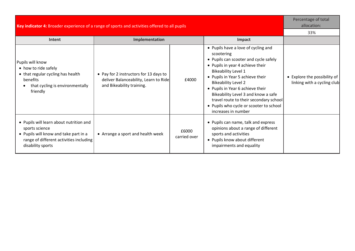| Key indicator 4: Broader experience of a range of sports and activities offered to all pupils                                                                      |                                                                                                              |                       |                                                                                                                                                                                                                                                                                                                                                                                                                       | Percentage of total<br>allocation:                          |
|--------------------------------------------------------------------------------------------------------------------------------------------------------------------|--------------------------------------------------------------------------------------------------------------|-----------------------|-----------------------------------------------------------------------------------------------------------------------------------------------------------------------------------------------------------------------------------------------------------------------------------------------------------------------------------------------------------------------------------------------------------------------|-------------------------------------------------------------|
|                                                                                                                                                                    |                                                                                                              |                       |                                                                                                                                                                                                                                                                                                                                                                                                                       | 33%                                                         |
| Intent                                                                                                                                                             | Implementation                                                                                               |                       | Impact                                                                                                                                                                                                                                                                                                                                                                                                                |                                                             |
| Pupils will know<br>• how to ride safely<br>• that regular cycling has health<br>benefits<br>that cycling is environmentally<br>friendly                           | • Pay for 2 instructors for 13 days to<br>deliver Balanceability, Learn to Ride<br>and Bikeability training. | £4000                 | • Pupils have a love of cycling and<br>scootering<br>• Pupils can scooter and cycle safely<br>• Pupils in year 4 achieve their<br><b>Bikeability Level 1</b><br>• Pupils in Year 5 achieve their<br><b>Bikeability Level 2</b><br>• Pupils in Year 6 achieve their<br>Bikeability Level 3 and know a safe<br>travel route to their secondary school<br>• Pupils who cycle or scooter to school<br>increases in number | • Explore the possibility of<br>linking with a cycling club |
| • Pupils will learn about nutrition and<br>sports science<br>• Pupils will know and take part in a<br>range of different activities including<br>disability sports | • Arrange a sport and health week                                                                            | £6000<br>carried over | • Pupils can name, talk and express<br>opinions about a range of different<br>sports and activities<br>• Pupils know about different<br>impairments and equality                                                                                                                                                                                                                                                      |                                                             |